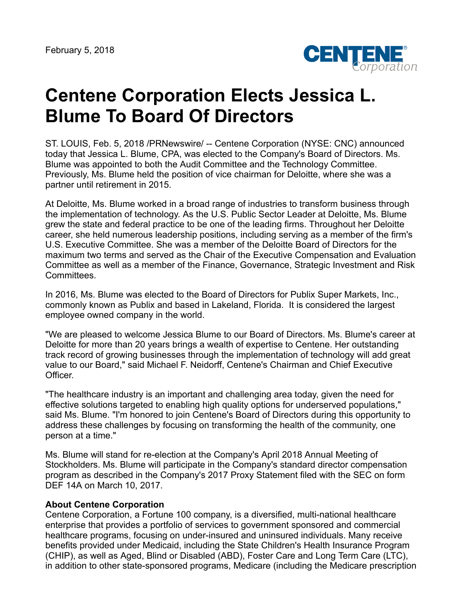

## **Centene Corporation Elects Jessica L. Blume To Board Of Directors**

ST. LOUIS, Feb. 5, 2018 /PRNewswire/ -- Centene Corporation (NYSE: CNC) announced today that Jessica L. Blume, CPA, was elected to the Company's Board of Directors. Ms. Blume was appointed to both the Audit Committee and the Technology Committee. Previously, Ms. Blume held the position of vice chairman for Deloitte, where she was a partner until retirement in 2015.

At Deloitte, Ms. Blume worked in a broad range of industries to transform business through the implementation of technology. As the U.S. Public Sector Leader at Deloitte, Ms. Blume grew the state and federal practice to be one of the leading firms. Throughout her Deloitte career, she held numerous leadership positions, including serving as a member of the firm's U.S. Executive Committee. She was a member of the Deloitte Board of Directors for the maximum two terms and served as the Chair of the Executive Compensation and Evaluation Committee as well as a member of the Finance, Governance, Strategic Investment and Risk Committees.

In 2016, Ms. Blume was elected to the Board of Directors for Publix Super Markets, Inc., commonly known as Publix and based in Lakeland, Florida. It is considered the largest employee owned company in the world.

"We are pleased to welcome Jessica Blume to our Board of Directors. Ms. Blume's career at Deloitte for more than 20 years brings a wealth of expertise to Centene. Her outstanding track record of growing businesses through the implementation of technology will add great value to our Board," said Michael F. Neidorff, Centene's Chairman and Chief Executive Officer.

"The healthcare industry is an important and challenging area today, given the need for effective solutions targeted to enabling high quality options for underserved populations," said Ms. Blume. "I'm honored to join Centene's Board of Directors during this opportunity to address these challenges by focusing on transforming the health of the community, one person at a time."

Ms. Blume will stand for re-election at the Company's April 2018 Annual Meeting of Stockholders. Ms. Blume will participate in the Company's standard director compensation program as described in the Company's 2017 Proxy Statement filed with the SEC on form DEF 14A on March 10, 2017.

## **About Centene Corporation**

Centene Corporation, a Fortune 100 company, is a diversified, multi-national healthcare enterprise that provides a portfolio of services to government sponsored and commercial healthcare programs, focusing on under-insured and uninsured individuals. Many receive benefits provided under Medicaid, including the State Children's Health Insurance Program (CHIP), as well as Aged, Blind or Disabled (ABD), Foster Care and Long Term Care (LTC), in addition to other state-sponsored programs, Medicare (including the Medicare prescription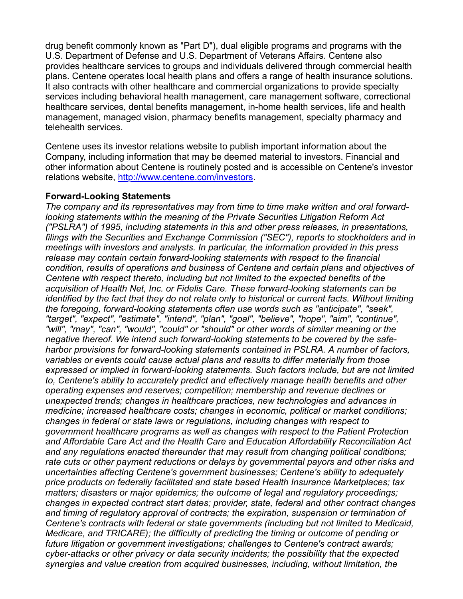drug benefit commonly known as "Part D"), dual eligible programs and programs with the U.S. Department of Defense and U.S. Department of Veterans Affairs. Centene also provides healthcare services to groups and individuals delivered through commercial health plans. Centene operates local health plans and offers a range of health insurance solutions. It also contracts with other healthcare and commercial organizations to provide specialty services including behavioral health management, care management software, correctional healthcare services, dental benefits management, in-home health services, life and health management, managed vision, pharmacy benefits management, specialty pharmacy and telehealth services.

Centene uses its investor relations website to publish important information about the Company, including information that may be deemed material to investors. Financial and other information about Centene is routinely posted and is accessible on Centene's investor relations website, <http://www.centene.com/investors>.

## **Forward-Looking Statements**

*The company and its representatives may from time to time make written and oral forwardlooking statements within the meaning of the Private Securities Litigation Reform Act ("PSLRA") of 1995, including statements in this and other press releases, in presentations, filings with the Securities and Exchange Commission ("SEC"), reports to stockholders and in meetings with investors and analysts. In particular, the information provided in this press release may contain certain forward-looking statements with respect to the financial condition, results of operations and business of Centene and certain plans and objectives of Centene with respect thereto, including but not limited to the expected benefits of the acquisition of Health Net, Inc. or Fidelis Care. These forward-looking statements can be identified by the fact that they do not relate only to historical or current facts. Without limiting the foregoing, forward-looking statements often use words such as "anticipate", "seek", "target", "expect", "estimate", "intend", "plan", "goal", "believe", "hope", "aim", "continue", "will", "may", "can", "would", "could" or "should" or other words of similar meaning or the negative thereof. We intend such forward-looking statements to be covered by the safeharbor provisions for forward-looking statements contained in PSLRA. A number of factors, variables or events could cause actual plans and results to differ materially from those expressed or implied in forward-looking statements. Such factors include, but are not limited to, Centene's ability to accurately predict and effectively manage health benefits and other operating expenses and reserves; competition; membership and revenue declines or unexpected trends; changes in healthcare practices, new technologies and advances in medicine; increased healthcare costs; changes in economic, political or market conditions; changes in federal or state laws or regulations, including changes with respect to government healthcare programs as well as changes with respect to the Patient Protection and Affordable Care Act and the Health Care and Education Affordability Reconciliation Act and any regulations enacted thereunder that may result from changing political conditions; rate cuts or other payment reductions or delays by governmental payors and other risks and uncertainties affecting Centene's government businesses; Centene's ability to adequately price products on federally facilitated and state based Health Insurance Marketplaces; tax matters; disasters or major epidemics; the outcome of legal and regulatory proceedings; changes in expected contract start dates; provider, state, federal and other contract changes and timing of regulatory approval of contracts; the expiration, suspension or termination of Centene's contracts with federal or state governments (including but not limited to Medicaid, Medicare, and TRICARE); the difficulty of predicting the timing or outcome of pending or future litigation or government investigations; challenges to Centene's contract awards; cyber-attacks or other privacy or data security incidents; the possibility that the expected synergies and value creation from acquired businesses, including, without limitation, the*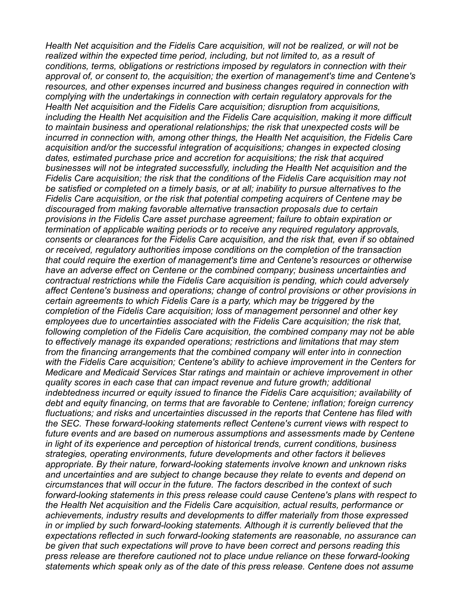*Health Net acquisition and the Fidelis Care acquisition, will not be realized, or will not be realized within the expected time period, including, but not limited to, as a result of conditions, terms, obligations or restrictions imposed by regulators in connection with their approval of, or consent to, the acquisition; the exertion of management's time and Centene's resources, and other expenses incurred and business changes required in connection with complying with the undertakings in connection with certain regulatory approvals for the Health Net acquisition and the Fidelis Care acquisition; disruption from acquisitions, including the Health Net acquisition and the Fidelis Care acquisition, making it more difficult to maintain business and operational relationships; the risk that unexpected costs will be incurred in connection with, among other things, the Health Net acquisition, the Fidelis Care acquisition and/or the successful integration of acquisitions; changes in expected closing dates, estimated purchase price and accretion for acquisitions; the risk that acquired businesses will not be integrated successfully, including the Health Net acquisition and the Fidelis Care acquisition; the risk that the conditions of the Fidelis Care acquisition may not be satisfied or completed on a timely basis, or at all; inability to pursue alternatives to the Fidelis Care acquisition, or the risk that potential competing acquirers of Centene may be discouraged from making favorable alternative transaction proposals due to certain provisions in the Fidelis Care asset purchase agreement; failure to obtain expiration or termination of applicable waiting periods or to receive any required regulatory approvals, consents or clearances for the Fidelis Care acquisition, and the risk that, even if so obtained or received, regulatory authorities impose conditions on the completion of the transaction that could require the exertion of management's time and Centene's resources or otherwise have an adverse effect on Centene or the combined company; business uncertainties and contractual restrictions while the Fidelis Care acquisition is pending, which could adversely affect Centene's business and operations; change of control provisions or other provisions in certain agreements to which Fidelis Care is a party, which may be triggered by the completion of the Fidelis Care acquisition; loss of management personnel and other key employees due to uncertainties associated with the Fidelis Care acquisition; the risk that, following completion of the Fidelis Care acquisition, the combined company may not be able to effectively manage its expanded operations; restrictions and limitations that may stem from the financing arrangements that the combined company will enter into in connection with the Fidelis Care acquisition; Centene's ability to achieve improvement in the Centers for Medicare and Medicaid Services Star ratings and maintain or achieve improvement in other quality scores in each case that can impact revenue and future growth; additional indebtedness incurred or equity issued to finance the Fidelis Care acquisition; availability of debt and equity financing, on terms that are favorable to Centene; inflation; foreign currency fluctuations; and risks and uncertainties discussed in the reports that Centene has filed with the SEC. These forward-looking statements reflect Centene's current views with respect to future events and are based on numerous assumptions and assessments made by Centene in light of its experience and perception of historical trends, current conditions, business strategies, operating environments, future developments and other factors it believes appropriate. By their nature, forward-looking statements involve known and unknown risks and uncertainties and are subject to change because they relate to events and depend on circumstances that will occur in the future. The factors described in the context of such forward-looking statements in this press release could cause Centene's plans with respect to the Health Net acquisition and the Fidelis Care acquisition, actual results, performance or achievements, industry results and developments to differ materially from those expressed in or implied by such forward-looking statements. Although it is currently believed that the expectations reflected in such forward-looking statements are reasonable, no assurance can be given that such expectations will prove to have been correct and persons reading this press release are therefore cautioned not to place undue reliance on these forward-looking statements which speak only as of the date of this press release. Centene does not assume*